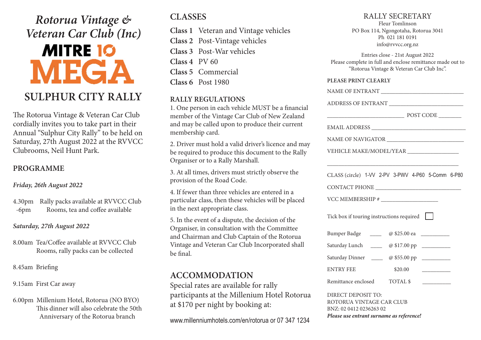*Rotorua Vintage & Veteran Car Club (Inc)*

# **MITRE 10 MEGA**

# **SULPHUR CITY RALLY**

The Rotorua Vintage & Veteran Car Club cordially invites you to take part in their Annual "Sulphur City Rally" to be held on Saturday, 27th August 2022 at the RVVCC Clubrooms, Neil Hunt Park.

## **PROGRAMME**

#### *Friday, 26th August 2022*

4.30pm Rally packs available at RVVCC Club -6pm Rooms, tea and coffee available

#### *Saturday, 27th August 2022*

8.00am Tea/Coffee available at RVVCC Club Rooms, rally packs can be collected

8.45am Briefing

9.15am First Car away

6.00pm Millenium Hotel, Rotorua (NO BYO) This dinner will also celebrate the 50th Anniversary of the Rotorua branch

# **CLASSES**

- **Class 1** Veteran and Vintage vehicles
- **Class 2** Post-Vintage vehicles

**Class 3** Post-War vehicles **Class 4** PV 60

**Class 5** Commercial

**Class 6** Post 1980

# **RALLY REGULATIONS**

1. One person in each vehicle MUST be a financial member of the Vintage Car Club of New Zealand and may be called upon to produce their current membership card.

2. Driver must hold a valid driver's licence and may be required to produce this document to the Rally Organiser or to a Rally Marshall.

3. At all times, drivers must strictly observe the provision of the Road Code.

4. If fewer than three vehicles are entered in a particular class, then these vehicles will be placed in the next appropriate class.

5. In the event of a dispute, the decision of the Organiser, in consultation with the Committee and Chairman and Club Captain of the Rotorua Vintage and Veteran Car Club Incorporated shall be final.

# **ACCOMMODATION**

Special rates are available for rally participants at the Millenium Hotel Rotorua at \$170 per night by booking at:

www.millenniumhotels.com/en/rotorua or 07 347 1234

## RALLY SECRETARY

Fleur Tomlinson PO Box 114, Ngongotaha, Rotorua 3041 Ph 021 181 0191 info@rvvcc.org.nz

Entries close - 21st August 2022 Please complete in full and enclose remittance made out to "Rotorua Vintage & Veteran Car Club Inc".

#### **PLEASE PRINT CLEARLY**

| ADDRESS OF ENTRANT                                                                                                    |
|-----------------------------------------------------------------------------------------------------------------------|
|                                                                                                                       |
|                                                                                                                       |
|                                                                                                                       |
| VEHICLE MAKE/MODEL/YEAR __________________                                                                            |
|                                                                                                                       |
| CLASS (circle) 1-VV 2-PV 3-PWV 4-P60 5-Comm 6-P80                                                                     |
|                                                                                                                       |
|                                                                                                                       |
| Tick box if touring instructions required                                                                             |
| Bumper Badge _______ @ \$25.00 ea _________                                                                           |
| Saturday Lunch _____ @ \$17.00 pp _________                                                                           |
|                                                                                                                       |
| <b>ENTRY FEE</b><br>\$20.00                                                                                           |
| Remittance enclosed TOTAL \$<br><u> Alexandria de A</u>                                                               |
| DIRECT DEPOSIT TO:<br>ROTORUA VINTAGE CAR CLUB<br>BNZ: 02 0412 0236263 02<br>Please use entrant surname as reference! |